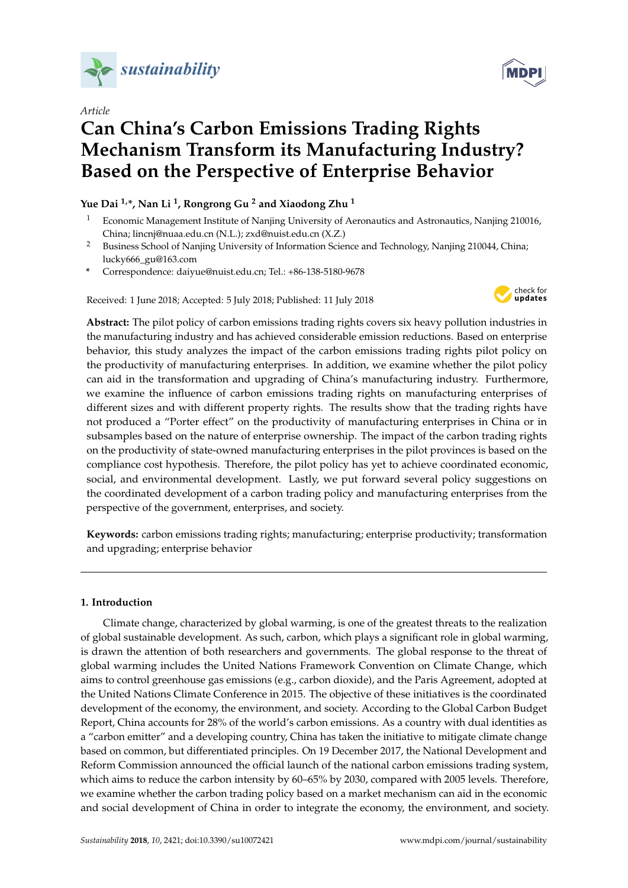

*Article*

# **Can China's Carbon Emissions Trading Rights Mechanism Transform its Manufacturing Industry? Based on the Perspective of Enterprise Behavior**

# **Yue Dai 1,\*, Nan Li <sup>1</sup> , Rongrong Gu <sup>2</sup> and Xiaodong Zhu <sup>1</sup>**

- <sup>1</sup> Economic Management Institute of Nanjing University of Aeronautics and Astronautics, Nanjing 210016, China; lincnj@nuaa.edu.cn (N.L.); zxd@nuist.edu.cn (X.Z.)
- <sup>2</sup> Business School of Nanjing University of Information Science and Technology, Nanjing 210044, China; lucky666\_gu@163.com
- **\*** Correspondence: daiyue@nuist.edu.cn; Tel.: +86-138-5180-9678

Received: 1 June 2018; Accepted: 5 July 2018; Published: 11 July 2018



**Abstract:** The pilot policy of carbon emissions trading rights covers six heavy pollution industries in the manufacturing industry and has achieved considerable emission reductions. Based on enterprise behavior, this study analyzes the impact of the carbon emissions trading rights pilot policy on the productivity of manufacturing enterprises. In addition, we examine whether the pilot policy can aid in the transformation and upgrading of China's manufacturing industry. Furthermore, we examine the influence of carbon emissions trading rights on manufacturing enterprises of different sizes and with different property rights. The results show that the trading rights have not produced a "Porter effect" on the productivity of manufacturing enterprises in China or in subsamples based on the nature of enterprise ownership. The impact of the carbon trading rights on the productivity of state-owned manufacturing enterprises in the pilot provinces is based on the compliance cost hypothesis. Therefore, the pilot policy has yet to achieve coordinated economic, social, and environmental development. Lastly, we put forward several policy suggestions on the coordinated development of a carbon trading policy and manufacturing enterprises from the perspective of the government, enterprises, and society.

**Keywords:** carbon emissions trading rights; manufacturing; enterprise productivity; transformation and upgrading; enterprise behavior

# **1. Introduction**

Climate change, characterized by global warming, is one of the greatest threats to the realization of global sustainable development. As such, carbon, which plays a significant role in global warming, is drawn the attention of both researchers and governments. The global response to the threat of global warming includes the United Nations Framework Convention on Climate Change, which aims to control greenhouse gas emissions (e.g., carbon dioxide), and the Paris Agreement, adopted at the United Nations Climate Conference in 2015. The objective of these initiatives is the coordinated development of the economy, the environment, and society. According to the Global Carbon Budget Report, China accounts for 28% of the world's carbon emissions. As a country with dual identities as a "carbon emitter" and a developing country, China has taken the initiative to mitigate climate change based on common, but differentiated principles. On 19 December 2017, the National Development and Reform Commission announced the official launch of the national carbon emissions trading system, which aims to reduce the carbon intensity by 60–65% by 2030, compared with 2005 levels. Therefore, we examine whether the carbon trading policy based on a market mechanism can aid in the economic and social development of China in order to integrate the economy, the environment, and society.

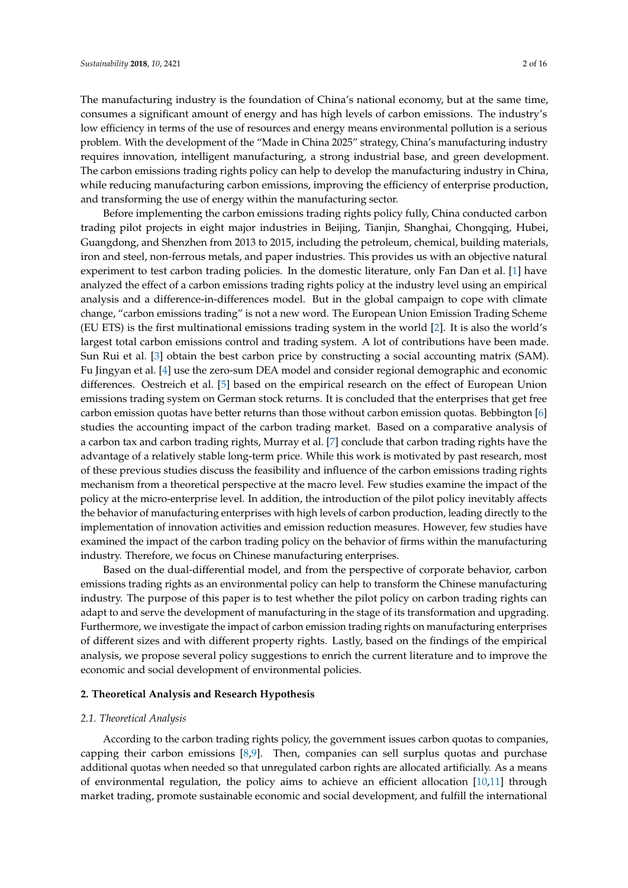The manufacturing industry is the foundation of China's national economy, but at the same time, consumes a significant amount of energy and has high levels of carbon emissions. The industry's low efficiency in terms of the use of resources and energy means environmental pollution is a serious problem. With the development of the "Made in China 2025" strategy, China's manufacturing industry requires innovation, intelligent manufacturing, a strong industrial base, and green development. The carbon emissions trading rights policy can help to develop the manufacturing industry in China, while reducing manufacturing carbon emissions, improving the efficiency of enterprise production, and transforming the use of energy within the manufacturing sector.

Before implementing the carbon emissions trading rights policy fully, China conducted carbon trading pilot projects in eight major industries in Beijing, Tianjin, Shanghai, Chongqing, Hubei, Guangdong, and Shenzhen from 2013 to 2015, including the petroleum, chemical, building materials, iron and steel, non-ferrous metals, and paper industries. This provides us with an objective natural experiment to test carbon trading policies. In the domestic literature, only Fan Dan et al. [\[1\]](#page-13-0) have analyzed the effect of a carbon emissions trading rights policy at the industry level using an empirical analysis and a difference-in-differences model. But in the global campaign to cope with climate change, "carbon emissions trading" is not a new word. The European Union Emission Trading Scheme (EU ETS) is the first multinational emissions trading system in the world [\[2\]](#page-13-1). It is also the world's largest total carbon emissions control and trading system. A lot of contributions have been made. Sun Rui et al. [\[3\]](#page-13-2) obtain the best carbon price by constructing a social accounting matrix (SAM). Fu Jingyan et al. [\[4\]](#page-13-3) use the zero-sum DEA model and consider regional demographic and economic differences. Oestreich et al. [\[5\]](#page-13-4) based on the empirical research on the effect of European Union emissions trading system on German stock returns. It is concluded that the enterprises that get free carbon emission quotas have better returns than those without carbon emission quotas. Bebbington [\[6\]](#page-13-5) studies the accounting impact of the carbon trading market. Based on a comparative analysis of a carbon tax and carbon trading rights, Murray et al. [\[7\]](#page-13-6) conclude that carbon trading rights have the advantage of a relatively stable long-term price. While this work is motivated by past research, most of these previous studies discuss the feasibility and influence of the carbon emissions trading rights mechanism from a theoretical perspective at the macro level. Few studies examine the impact of the policy at the micro-enterprise level. In addition, the introduction of the pilot policy inevitably affects the behavior of manufacturing enterprises with high levels of carbon production, leading directly to the implementation of innovation activities and emission reduction measures. However, few studies have examined the impact of the carbon trading policy on the behavior of firms within the manufacturing industry. Therefore, we focus on Chinese manufacturing enterprises.

Based on the dual-differential model, and from the perspective of corporate behavior, carbon emissions trading rights as an environmental policy can help to transform the Chinese manufacturing industry. The purpose of this paper is to test whether the pilot policy on carbon trading rights can adapt to and serve the development of manufacturing in the stage of its transformation and upgrading. Furthermore, we investigate the impact of carbon emission trading rights on manufacturing enterprises of different sizes and with different property rights. Lastly, based on the findings of the empirical analysis, we propose several policy suggestions to enrich the current literature and to improve the economic and social development of environmental policies.

#### **2. Theoretical Analysis and Research Hypothesis**

#### *2.1. Theoretical Analysis*

According to the carbon trading rights policy, the government issues carbon quotas to companies, capping their carbon emissions  $[8,9]$  $[8,9]$ . Then, companies can sell surplus quotas and purchase additional quotas when needed so that unregulated carbon rights are allocated artificially. As a means of environmental regulation, the policy aims to achieve an efficient allocation [\[10](#page-13-9)[,11\]](#page-13-10) through market trading, promote sustainable economic and social development, and fulfill the international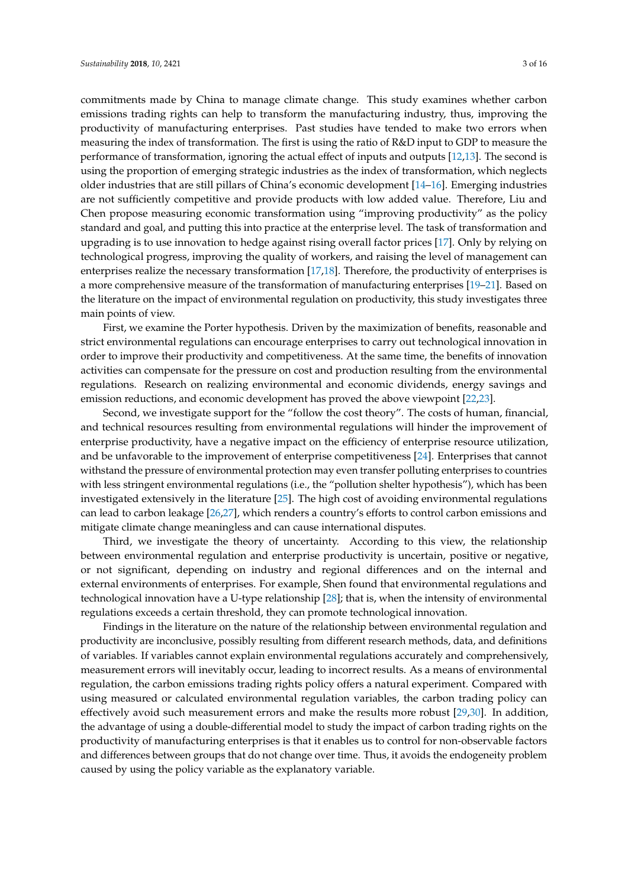commitments made by China to manage climate change. This study examines whether carbon emissions trading rights can help to transform the manufacturing industry, thus, improving the productivity of manufacturing enterprises. Past studies have tended to make two errors when measuring the index of transformation. The first is using the ratio of R&D input to GDP to measure the performance of transformation, ignoring the actual effect of inputs and outputs [\[12,](#page-13-11)[13\]](#page-13-12). The second is using the proportion of emerging strategic industries as the index of transformation, which neglects older industries that are still pillars of China's economic development [\[14–](#page-13-13)[16\]](#page-13-14). Emerging industries are not sufficiently competitive and provide products with low added value. Therefore, Liu and Chen propose measuring economic transformation using "improving productivity" as the policy standard and goal, and putting this into practice at the enterprise level. The task of transformation and upgrading is to use innovation to hedge against rising overall factor prices [\[17\]](#page-13-15). Only by relying on technological progress, improving the quality of workers, and raising the level of management can enterprises realize the necessary transformation [\[17,](#page-13-15)[18\]](#page-13-16). Therefore, the productivity of enterprises is a more comprehensive measure of the transformation of manufacturing enterprises [\[19](#page-13-17)[–21\]](#page-13-18). Based on the literature on the impact of environmental regulation on productivity, this study investigates three main points of view.

First, we examine the Porter hypothesis. Driven by the maximization of benefits, reasonable and strict environmental regulations can encourage enterprises to carry out technological innovation in order to improve their productivity and competitiveness. At the same time, the benefits of innovation activities can compensate for the pressure on cost and production resulting from the environmental regulations. Research on realizing environmental and economic dividends, energy savings and emission reductions, and economic development has proved the above viewpoint [\[22](#page-13-19)[,23\]](#page-13-20).

Second, we investigate support for the "follow the cost theory". The costs of human, financial, and technical resources resulting from environmental regulations will hinder the improvement of enterprise productivity, have a negative impact on the efficiency of enterprise resource utilization, and be unfavorable to the improvement of enterprise competitiveness [\[24\]](#page-14-0). Enterprises that cannot withstand the pressure of environmental protection may even transfer polluting enterprises to countries with less stringent environmental regulations (i.e., the "pollution shelter hypothesis"), which has been investigated extensively in the literature [\[25\]](#page-14-1). The high cost of avoiding environmental regulations can lead to carbon leakage [\[26,](#page-14-2)[27\]](#page-14-3), which renders a country's efforts to control carbon emissions and mitigate climate change meaningless and can cause international disputes.

Third, we investigate the theory of uncertainty. According to this view, the relationship between environmental regulation and enterprise productivity is uncertain, positive or negative, or not significant, depending on industry and regional differences and on the internal and external environments of enterprises. For example, Shen found that environmental regulations and technological innovation have a U-type relationship [\[28\]](#page-14-4); that is, when the intensity of environmental regulations exceeds a certain threshold, they can promote technological innovation.

Findings in the literature on the nature of the relationship between environmental regulation and productivity are inconclusive, possibly resulting from different research methods, data, and definitions of variables. If variables cannot explain environmental regulations accurately and comprehensively, measurement errors will inevitably occur, leading to incorrect results. As a means of environmental regulation, the carbon emissions trading rights policy offers a natural experiment. Compared with using measured or calculated environmental regulation variables, the carbon trading policy can effectively avoid such measurement errors and make the results more robust [\[29,](#page-14-5)[30\]](#page-14-6). In addition, the advantage of using a double-differential model to study the impact of carbon trading rights on the productivity of manufacturing enterprises is that it enables us to control for non-observable factors and differences between groups that do not change over time. Thus, it avoids the endogeneity problem caused by using the policy variable as the explanatory variable.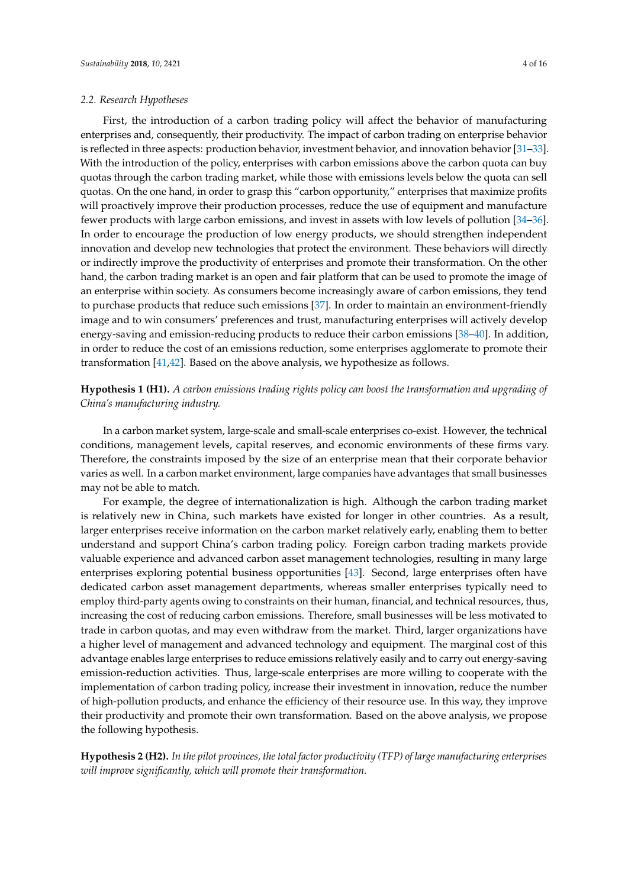#### *2.2. Research Hypotheses*

First, the introduction of a carbon trading policy will affect the behavior of manufacturing enterprises and, consequently, their productivity. The impact of carbon trading on enterprise behavior is reflected in three aspects: production behavior, investment behavior, and innovation behavior [\[31–](#page-14-7)[33\]](#page-14-8). With the introduction of the policy, enterprises with carbon emissions above the carbon quota can buy quotas through the carbon trading market, while those with emissions levels below the quota can sell quotas. On the one hand, in order to grasp this "carbon opportunity," enterprises that maximize profits will proactively improve their production processes, reduce the use of equipment and manufacture fewer products with large carbon emissions, and invest in assets with low levels of pollution [\[34–](#page-14-9)[36\]](#page-14-10). In order to encourage the production of low energy products, we should strengthen independent innovation and develop new technologies that protect the environment. These behaviors will directly or indirectly improve the productivity of enterprises and promote their transformation. On the other hand, the carbon trading market is an open and fair platform that can be used to promote the image of an enterprise within society. As consumers become increasingly aware of carbon emissions, they tend to purchase products that reduce such emissions [\[37\]](#page-14-11). In order to maintain an environment-friendly image and to win consumers' preferences and trust, manufacturing enterprises will actively develop energy-saving and emission-reducing products to reduce their carbon emissions [\[38–](#page-14-12)[40\]](#page-14-13). In addition, in order to reduce the cost of an emissions reduction, some enterprises agglomerate to promote their transformation [\[41](#page-14-14)[,42\]](#page-14-15). Based on the above analysis, we hypothesize as follows.

**Hypothesis 1 (H1).** *A carbon emissions trading rights policy can boost the transformation and upgrading of China's manufacturing industry.*

In a carbon market system, large-scale and small-scale enterprises co-exist. However, the technical conditions, management levels, capital reserves, and economic environments of these firms vary. Therefore, the constraints imposed by the size of an enterprise mean that their corporate behavior varies as well. In a carbon market environment, large companies have advantages that small businesses may not be able to match.

For example, the degree of internationalization is high. Although the carbon trading market is relatively new in China, such markets have existed for longer in other countries. As a result, larger enterprises receive information on the carbon market relatively early, enabling them to better understand and support China's carbon trading policy. Foreign carbon trading markets provide valuable experience and advanced carbon asset management technologies, resulting in many large enterprises exploring potential business opportunities [\[43\]](#page-14-16). Second, large enterprises often have dedicated carbon asset management departments, whereas smaller enterprises typically need to employ third-party agents owing to constraints on their human, financial, and technical resources, thus, increasing the cost of reducing carbon emissions. Therefore, small businesses will be less motivated to trade in carbon quotas, and may even withdraw from the market. Third, larger organizations have a higher level of management and advanced technology and equipment. The marginal cost of this advantage enables large enterprises to reduce emissions relatively easily and to carry out energy-saving emission-reduction activities. Thus, large-scale enterprises are more willing to cooperate with the implementation of carbon trading policy, increase their investment in innovation, reduce the number of high-pollution products, and enhance the efficiency of their resource use. In this way, they improve their productivity and promote their own transformation. Based on the above analysis, we propose the following hypothesis.

**Hypothesis 2 (H2).** *In the pilot provinces, the total factor productivity (TFP) of large manufacturing enterprises will improve significantly, which will promote their transformation.*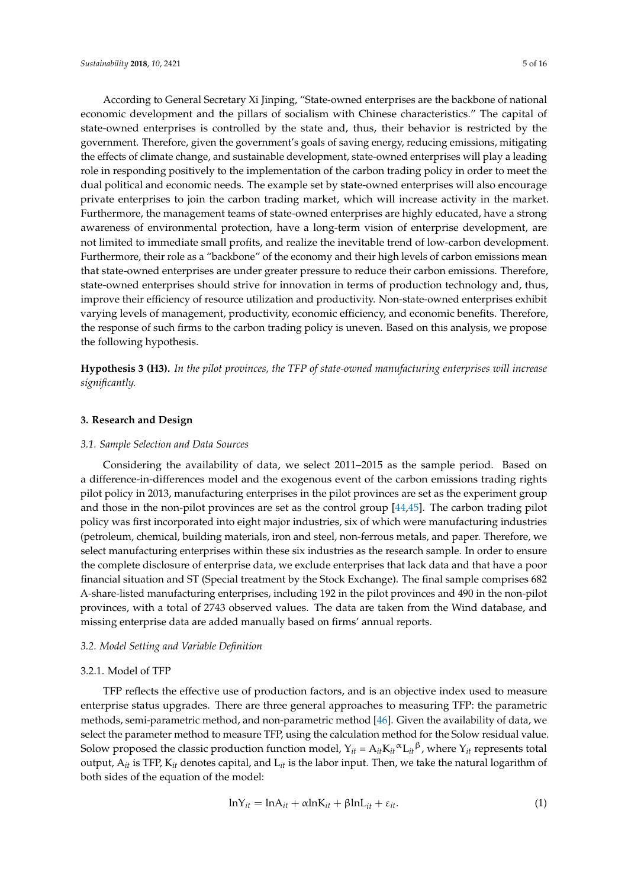According to General Secretary Xi Jinping, "State-owned enterprises are the backbone of national economic development and the pillars of socialism with Chinese characteristics." The capital of state-owned enterprises is controlled by the state and, thus, their behavior is restricted by the government. Therefore, given the government's goals of saving energy, reducing emissions, mitigating the effects of climate change, and sustainable development, state-owned enterprises will play a leading role in responding positively to the implementation of the carbon trading policy in order to meet the dual political and economic needs. The example set by state-owned enterprises will also encourage private enterprises to join the carbon trading market, which will increase activity in the market. Furthermore, the management teams of state-owned enterprises are highly educated, have a strong awareness of environmental protection, have a long-term vision of enterprise development, are not limited to immediate small profits, and realize the inevitable trend of low-carbon development. Furthermore, their role as a "backbone" of the economy and their high levels of carbon emissions mean that state-owned enterprises are under greater pressure to reduce their carbon emissions. Therefore, state-owned enterprises should strive for innovation in terms of production technology and, thus, improve their efficiency of resource utilization and productivity. Non-state-owned enterprises exhibit varying levels of management, productivity, economic efficiency, and economic benefits. Therefore, the response of such firms to the carbon trading policy is uneven. Based on this analysis, we propose the following hypothesis.

**Hypothesis 3 (H3).** *In the pilot provinces, the TFP of state-owned manufacturing enterprises will increase significantly.*

# **3. Research and Design**

## *3.1. Sample Selection and Data Sources*

Considering the availability of data, we select 2011–2015 as the sample period. Based on a difference-in-differences model and the exogenous event of the carbon emissions trading rights pilot policy in 2013, manufacturing enterprises in the pilot provinces are set as the experiment group and those in the non-pilot provinces are set as the control group [\[44,](#page-14-17)[45\]](#page-14-18). The carbon trading pilot policy was first incorporated into eight major industries, six of which were manufacturing industries (petroleum, chemical, building materials, iron and steel, non-ferrous metals, and paper. Therefore, we select manufacturing enterprises within these six industries as the research sample. In order to ensure the complete disclosure of enterprise data, we exclude enterprises that lack data and that have a poor financial situation and ST (Special treatment by the Stock Exchange). The final sample comprises 682 A-share-listed manufacturing enterprises, including 192 in the pilot provinces and 490 in the non-pilot provinces, with a total of 2743 observed values. The data are taken from the Wind database, and missing enterprise data are added manually based on firms' annual reports.

#### *3.2. Model Setting and Variable Definition*

#### 3.2.1. Model of TFP

TFP reflects the effective use of production factors, and is an objective index used to measure enterprise status upgrades. There are three general approaches to measuring TFP: the parametric methods, semi-parametric method, and non-parametric method [\[46\]](#page-14-19). Given the availability of data, we select the parameter method to measure TFP, using the calculation method for the Solow residual value. Solow proposed the classic production function model,  $Y_{it} = A_{it}K_{it}^{\alpha}L_{it}^{\beta}$ , where  $Y_{it}$  represents total output, A*it* is TFP, K*it* denotes capital, and L*it* is the labor input. Then, we take the natural logarithm of both sides of the equation of the model:

$$
lnY_{it} = lnA_{it} + \alpha lnK_{it} + \beta lnL_{it} + \varepsilon_{it}.
$$
\n(1)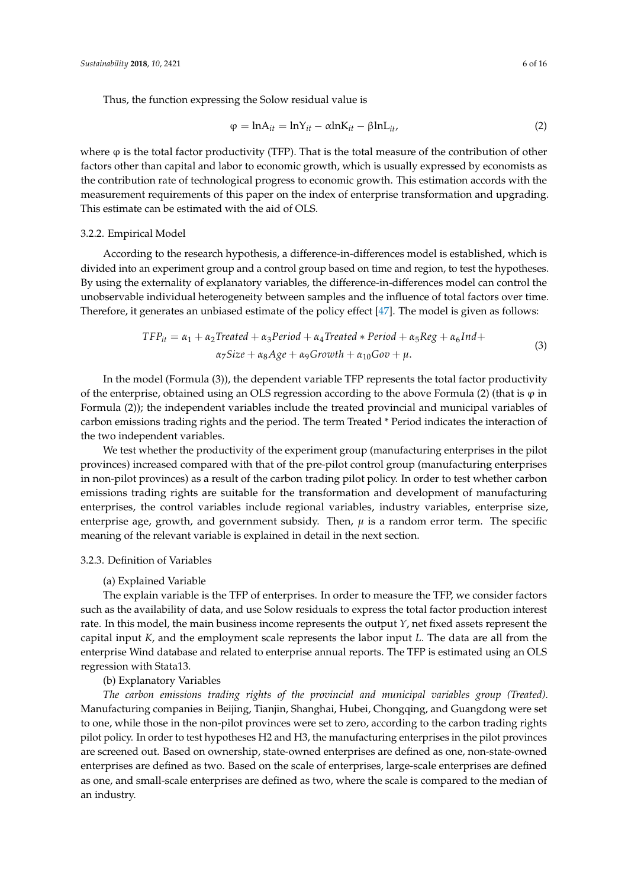Thus, the function expressing the Solow residual value is

$$
\varphi = \ln A_{it} = \ln Y_{it} - \alpha \ln K_{it} - \beta \ln L_{it}, \qquad (2)
$$

where  $\varphi$  is the total factor productivity (TFP). That is the total measure of the contribution of other factors other than capital and labor to economic growth, which is usually expressed by economists as the contribution rate of technological progress to economic growth. This estimation accords with the measurement requirements of this paper on the index of enterprise transformation and upgrading. This estimate can be estimated with the aid of OLS.

## 3.2.2. Empirical Model

According to the research hypothesis, a difference-in-differences model is established, which is divided into an experiment group and a control group based on time and region, to test the hypotheses. By using the externality of explanatory variables, the difference-in-differences model can control the unobservable individual heterogeneity between samples and the influence of total factors over time. Therefore, it generates an unbiased estimate of the policy effect [\[47\]](#page-14-20). The model is given as follows:

$$
TFP_{it} = \alpha_1 + \alpha_2 Treated + \alpha_3 Period + \alpha_4 Treated * Period + \alpha_5 Reg + \alpha_6 Ind + \alpha_7 Size + \alpha_8 Age + \alpha_9 Growth + \alpha_{10} Gov + \mu.
$$
\n(3)

In the model (Formula (3)), the dependent variable TFP represents the total factor productivity of the enterprise, obtained using an OLS regression according to the above Formula (2) (that is  $\varphi$  in Formula (2)); the independent variables include the treated provincial and municipal variables of carbon emissions trading rights and the period. The term Treated \* Period indicates the interaction of the two independent variables.

We test whether the productivity of the experiment group (manufacturing enterprises in the pilot provinces) increased compared with that of the pre-pilot control group (manufacturing enterprises in non-pilot provinces) as a result of the carbon trading pilot policy. In order to test whether carbon emissions trading rights are suitable for the transformation and development of manufacturing enterprises, the control variables include regional variables, industry variables, enterprise size, enterprise age, growth, and government subsidy. Then, *µ* is a random error term. The specific meaning of the relevant variable is explained in detail in the next section.

# 3.2.3. Definition of Variables

# (a) Explained Variable

The explain variable is the TFP of enterprises. In order to measure the TFP, we consider factors such as the availability of data, and use Solow residuals to express the total factor production interest rate. In this model, the main business income represents the output *Y*, net fixed assets represent the capital input *K*, and the employment scale represents the labor input *L*. The data are all from the enterprise Wind database and related to enterprise annual reports. The TFP is estimated using an OLS regression with Stata13.

# (b) Explanatory Variables

*The carbon emissions trading rights of the provincial and municipal variables group (Treated).* Manufacturing companies in Beijing, Tianjin, Shanghai, Hubei, Chongqing, and Guangdong were set to one, while those in the non-pilot provinces were set to zero, according to the carbon trading rights pilot policy. In order to test hypotheses H2 and H3, the manufacturing enterprises in the pilot provinces are screened out. Based on ownership, state-owned enterprises are defined as one, non-state-owned enterprises are defined as two. Based on the scale of enterprises, large-scale enterprises are defined as one, and small-scale enterprises are defined as two, where the scale is compared to the median of an industry.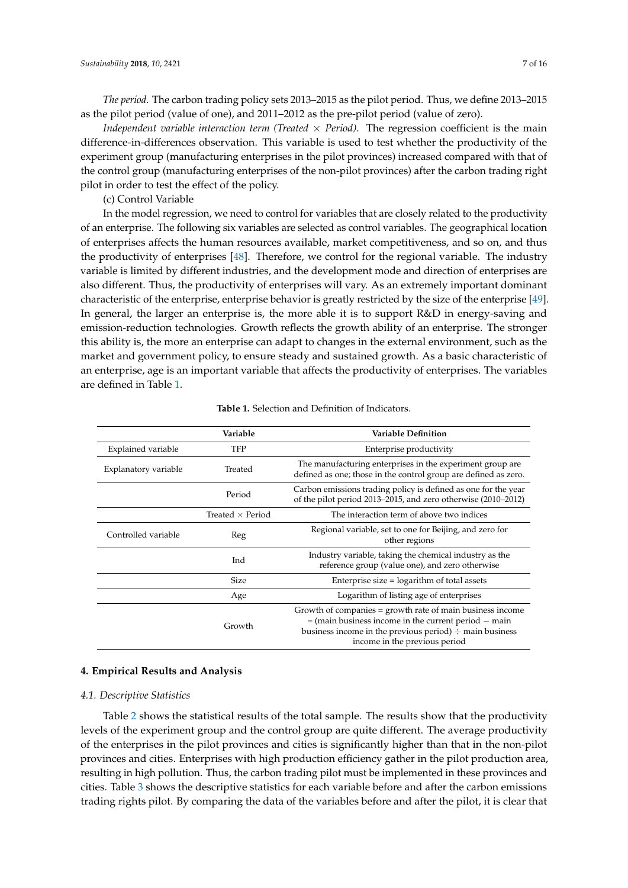*The period.* The carbon trading policy sets 2013–2015 as the pilot period. Thus, we define 2013–2015 as the pilot period (value of one), and 2011–2012 as the pre-pilot period (value of zero).

*Independent variable interaction term (Treated*  $\times$  *Period).* The regression coefficient is the main difference-in-differences observation. This variable is used to test whether the productivity of the experiment group (manufacturing enterprises in the pilot provinces) increased compared with that of the control group (manufacturing enterprises of the non-pilot provinces) after the carbon trading right pilot in order to test the effect of the policy.

(c) Control Variable

In the model regression, we need to control for variables that are closely related to the productivity of an enterprise. The following six variables are selected as control variables. The geographical location of enterprises affects the human resources available, market competitiveness, and so on, and thus the productivity of enterprises [\[48\]](#page-15-0). Therefore, we control for the regional variable. The industry variable is limited by different industries, and the development mode and direction of enterprises are also different. Thus, the productivity of enterprises will vary. As an extremely important dominant characteristic of the enterprise, enterprise behavior is greatly restricted by the size of the enterprise [\[49\]](#page-15-1). In general, the larger an enterprise is, the more able it is to support R&D in energy-saving and emission-reduction technologies. Growth reflects the growth ability of an enterprise. The stronger this ability is, the more an enterprise can adapt to changes in the external environment, such as the market and government policy, to ensure steady and sustained growth. As a basic characteristic of an enterprise, age is an important variable that affects the productivity of enterprises. The variables are defined in Table [1.](#page-6-0)

<span id="page-6-0"></span>

|                      | Variable                | <b>Variable Definition</b>                                                                                                                                                                                             |
|----------------------|-------------------------|------------------------------------------------------------------------------------------------------------------------------------------------------------------------------------------------------------------------|
| Explained variable   | TFP                     | Enterprise productivity                                                                                                                                                                                                |
| Explanatory variable | Treated                 | The manufacturing enterprises in the experiment group are.<br>defined as one; those in the control group are defined as zero.                                                                                          |
|                      | Period                  | Carbon emissions trading policy is defined as one for the year<br>of the pilot period 2013–2015, and zero otherwise (2010–2012)                                                                                        |
|                      | Treated $\times$ Period | The interaction term of above two indices                                                                                                                                                                              |
| Controlled variable  | Reg                     | Regional variable, set to one for Beijing, and zero for<br>other regions                                                                                                                                               |
|                      | Ind                     | Industry variable, taking the chemical industry as the<br>reference group (value one), and zero otherwise                                                                                                              |
|                      | <b>Size</b>             | Enterprise size $=$ logarithm of total assets                                                                                                                                                                          |
|                      | Age                     | Logarithm of listing age of enterprises                                                                                                                                                                                |
|                      | Growth                  | Growth of companies = growth rate of main business income<br>$=$ (main business income in the current period $-$ main<br>business income in the previous period) $\div$ main business<br>income in the previous period |

#### **Table 1.** Selection and Definition of Indicators.

#### **4. Empirical Results and Analysis**

#### *4.1. Descriptive Statistics*

Table [2](#page-7-0) shows the statistical results of the total sample. The results show that the productivity levels of the experiment group and the control group are quite different. The average productivity of the enterprises in the pilot provinces and cities is significantly higher than that in the non-pilot provinces and cities. Enterprises with high production efficiency gather in the pilot production area, resulting in high pollution. Thus, the carbon trading pilot must be implemented in these provinces and cities. Table [3](#page-7-1) shows the descriptive statistics for each variable before and after the carbon emissions trading rights pilot. By comparing the data of the variables before and after the pilot, it is clear that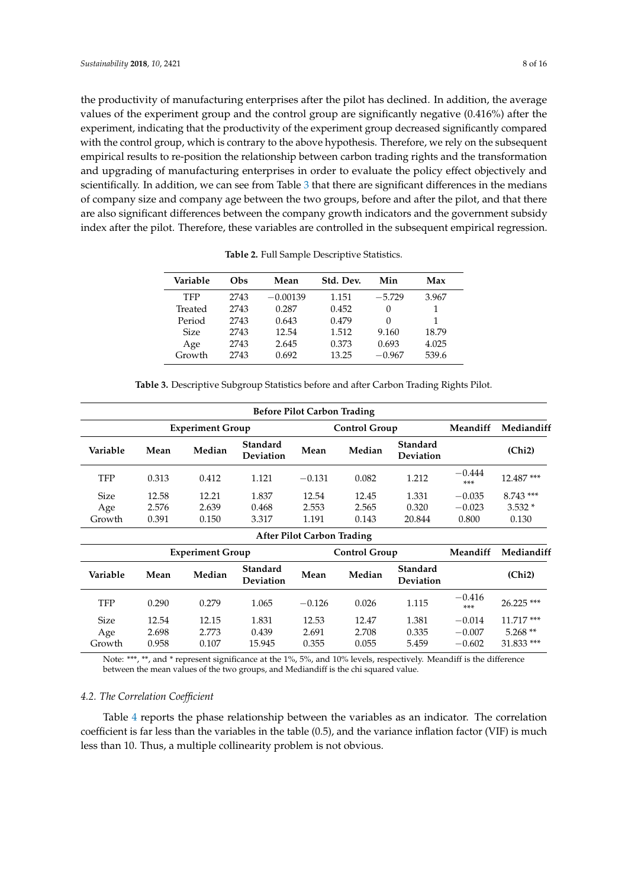the productivity of manufacturing enterprises after the pilot has declined. In addition, the average values of the experiment group and the control group are significantly negative (0.416%) after the experiment, indicating that the productivity of the experiment group decreased significantly compared with the control group, which is contrary to the above hypothesis. Therefore, we rely on the subsequent empirical results to re-position the relationship between carbon trading rights and the transformation and upgrading of manufacturing enterprises in order to evaluate the policy effect objectively and scientifically. In addition, we can see from Table [3](#page-7-1) that there are significant differences in the medians of company size and company age between the two groups, before and after the pilot, and that there are also significant differences between the company growth indicators and the government subsidy index after the pilot. Therefore, these variables are controlled in the subsequent empirical regression.

<span id="page-7-0"></span>

| Variable    | Obs  | Mean       | Std. Dev. | Min      | Max   |
|-------------|------|------------|-----------|----------|-------|
| <b>TFP</b>  | 2743 | $-0.00139$ | 1.151     | $-5.729$ | 3.967 |
| Treated     | 2743 | 0.287      | 0.452     | $\Omega$ |       |
| Period      | 2743 | 0.643      | 0.479     | 0        | 1     |
| <b>Size</b> | 2743 | 12.54      | 1.512     | 9.160    | 18.79 |
| Age         | 2743 | 2.645      | 0.373     | 0.693    | 4.025 |
| Growth      | 2743 | 0.692      | 13.25     | $-0.967$ | 539.6 |

**Table 2.** Full Sample Descriptive Statistics.

| <b>Table 3.</b> Descriptive Subgroup Statistics before and after Carbon Trading Rights Pilot. |  |  |
|-----------------------------------------------------------------------------------------------|--|--|
|-----------------------------------------------------------------------------------------------|--|--|

<span id="page-7-1"></span>

|             |                         |                         |                              | <b>Before Pilot Carbon Trading</b> |                      |                              |                 |             |
|-------------|-------------------------|-------------------------|------------------------------|------------------------------------|----------------------|------------------------------|-----------------|-------------|
|             | <b>Experiment Group</b> |                         |                              |                                    | <b>Control Group</b> |                              | Meandiff        | Mediandiff  |
| Variable    | Mean                    | Median                  | <b>Standard</b><br>Deviation | Mean                               | Median               | Standard<br>Deviation        |                 | (Chi2)      |
| TFP         | 0.313                   | 0.412                   | 1.121                        | $-0.131$                           | 0.082                | 1.212                        | $-0.444$<br>*** | 12.487 ***  |
| <b>Size</b> | 12.58                   | 12.21                   | 1.837                        | 12.54                              | 12.45                | 1.331                        | $-0.035$        | $8.743$ *** |
| Age         | 2.576                   | 2.639                   | 0.468                        | 2.553                              | 2.565                | 0.320                        | $-0.023$        | $3.532*$    |
| Growth      | 0.391                   | 0.150                   | 3.317                        | 1.191                              | 0.143                | 20.844                       | 0.800           | 0.130       |
|             |                         |                         |                              | <b>After Pilot Carbon Trading</b>  |                      |                              |                 |             |
|             |                         | <b>Experiment Group</b> |                              |                                    | <b>Control Group</b> |                              | Meandiff        | Mediandiff  |
| Variable    | Mean                    | Median                  | Standard<br>Deviation        | Mean                               | Median               | Standard<br><b>Deviation</b> |                 | (Chi2)      |
| <b>TFP</b>  | 0.290                   | 0.279                   | 1.065                        | $-0.126$                           | 0.026                | 1.115                        | $-0.416$<br>*** | 26.225 ***  |
| <b>Size</b> | 12.54                   | 12.15                   | 1.831                        | 12.53                              | 12.47                | 1.381                        | $-0.014$        | $11.717***$ |
| Age         | 2.698                   | 2.773                   | 0.439                        | 2.691                              | 2.708                | 0.335                        | $-0.007$        | $5.268**$   |
| Growth      | 0.958                   | 0.107                   | 15.945                       | 0.355                              | 0.055                | 5.459                        | $-0.602$        | 31.833 ***  |

Note: \*\*\*, \*\*, and \* represent significance at the 1%, 5%, and 10% levels, respectively. Meandiff is the difference between the mean values of the two groups, and Mediandiff is the chi squared value.

# *4.2. The Correlation Coefficient*

Table [4](#page-8-0) reports the phase relationship between the variables as an indicator. The correlation coefficient is far less than the variables in the table (0.5), and the variance inflation factor (VIF) is much less than 10. Thus, a multiple collinearity problem is not obvious.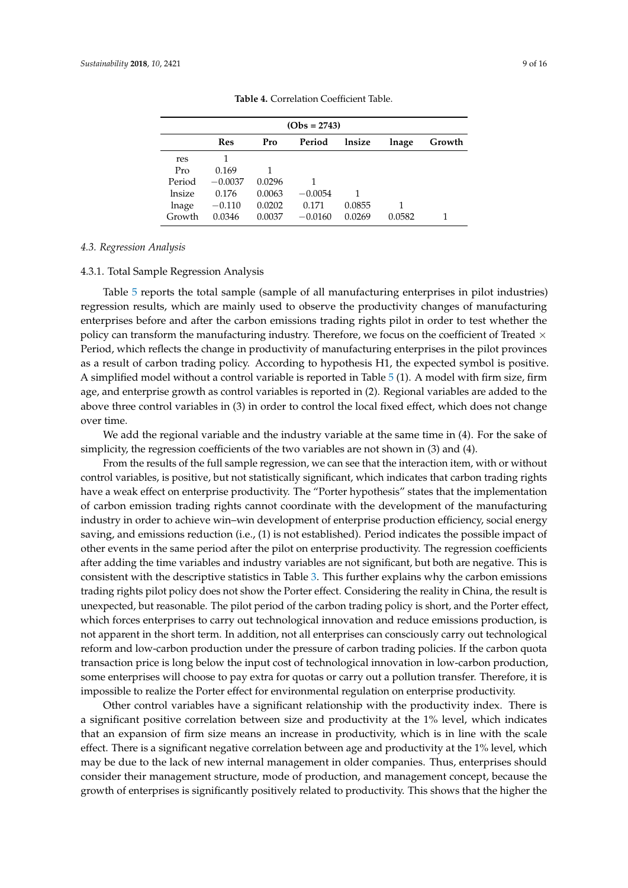<span id="page-8-0"></span>

|        | $(Obs = 2743)$ |        |           |        |        |        |  |
|--------|----------------|--------|-----------|--------|--------|--------|--|
|        | Res            | Pro    | Period    | lnsize | lnage  | Growth |  |
| res    |                |        |           |        |        |        |  |
| Pro    | 0.169          |        |           |        |        |        |  |
| Period | $-0.0037$      | 0.0296 |           |        |        |        |  |
| lnsize | 0.176          | 0.0063 | $-0.0054$ |        |        |        |  |
| lnage  | $-0.110$       | 0.0202 | 0.171     | 0.0855 |        |        |  |
| Growth | 0.0346         | 0.0037 | $-0.0160$ | 0.0269 | 0.0582 |        |  |
|        |                |        |           |        |        |        |  |

**Table 4.** Correlation Coefficient Table.

# *4.3. Regression Analysis*

# 4.3.1. Total Sample Regression Analysis

Table [5](#page-9-0) reports the total sample (sample of all manufacturing enterprises in pilot industries) regression results, which are mainly used to observe the productivity changes of manufacturing enterprises before and after the carbon emissions trading rights pilot in order to test whether the policy can transform the manufacturing industry. Therefore, we focus on the coefficient of Treated  $\times$ Period, which reflects the change in productivity of manufacturing enterprises in the pilot provinces as a result of carbon trading policy. According to hypothesis H1, the expected symbol is positive. A simplified model without a control variable is reported in Table [5](#page-9-0) (1). A model with firm size, firm age, and enterprise growth as control variables is reported in (2). Regional variables are added to the above three control variables in (3) in order to control the local fixed effect, which does not change over time.

We add the regional variable and the industry variable at the same time in (4). For the sake of simplicity, the regression coefficients of the two variables are not shown in (3) and (4).

From the results of the full sample regression, we can see that the interaction item, with or without control variables, is positive, but not statistically significant, which indicates that carbon trading rights have a weak effect on enterprise productivity. The "Porter hypothesis" states that the implementation of carbon emission trading rights cannot coordinate with the development of the manufacturing industry in order to achieve win–win development of enterprise production efficiency, social energy saving, and emissions reduction (i.e., (1) is not established). Period indicates the possible impact of other events in the same period after the pilot on enterprise productivity. The regression coefficients after adding the time variables and industry variables are not significant, but both are negative. This is consistent with the descriptive statistics in Table [3.](#page-7-1) This further explains why the carbon emissions trading rights pilot policy does not show the Porter effect. Considering the reality in China, the result is unexpected, but reasonable. The pilot period of the carbon trading policy is short, and the Porter effect, which forces enterprises to carry out technological innovation and reduce emissions production, is not apparent in the short term. In addition, not all enterprises can consciously carry out technological reform and low-carbon production under the pressure of carbon trading policies. If the carbon quota transaction price is long below the input cost of technological innovation in low-carbon production, some enterprises will choose to pay extra for quotas or carry out a pollution transfer. Therefore, it is impossible to realize the Porter effect for environmental regulation on enterprise productivity.

Other control variables have a significant relationship with the productivity index. There is a significant positive correlation between size and productivity at the 1% level, which indicates that an expansion of firm size means an increase in productivity, which is in line with the scale effect. There is a significant negative correlation between age and productivity at the 1% level, which may be due to the lack of new internal management in older companies. Thus, enterprises should consider their management structure, mode of production, and management concept, because the growth of enterprises is significantly positively related to productivity. This shows that the higher the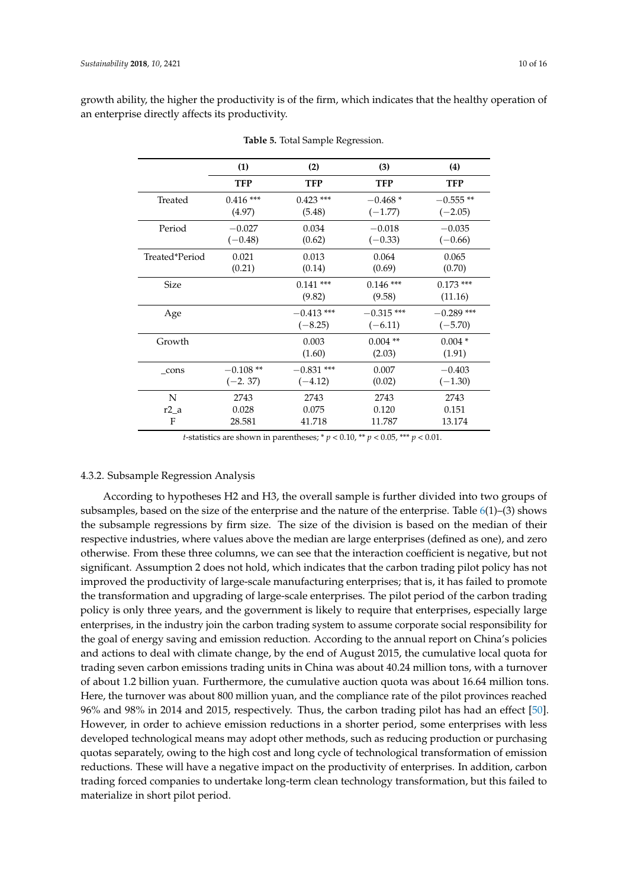|                | (1)         | (2)          | (3)          | (4)          |
|----------------|-------------|--------------|--------------|--------------|
|                | TFP         | TFP          | TFP          | <b>TFP</b>   |
| Treated        | $0.416$ *** | $0.423$ ***  | $-0.468*$    | $-0.555**$   |
|                | (4.97)      | (5.48)       | $(-1.77)$    | $(-2.05)$    |
| Period         | $-0.027$    | 0.034        | $-0.018$     | $-0.035$     |
|                | $(-0.48)$   | (0.62)       | $(-0.33)$    | $(-0.66)$    |
| Treated*Period | 0.021       | 0.013        | 0.064        | 0.065        |
|                | (0.21)      | (0.14)       | (0.69)       | (0.70)       |
| Size           |             | $0.141$ ***  | $0.146$ ***  | $0.173$ ***  |
|                |             | (9.82)       | (9.58)       | (11.16)      |
| Age            |             | $-0.413$ *** | $-0.315$ *** | $-0.289$ *** |
|                |             | $(-8.25)$    | $(-6.11)$    | $(-5.70)$    |
| Growth         |             | 0.003        | $0.004$ **   | $0.004*$     |
|                |             | (1.60)       | (2.03)       | (1.91)       |
| cons           | $-0.108**$  | $-0.831$ *** | 0.007        | $-0.403$     |
|                | $(-2.37)$   | $(-4.12)$    | (0.02)       | $(-1.30)$    |
| N              | 2743        | 2743         | 2743         | 2743         |
| $r2_a$         | 0.028       | 0.075        | 0.120        | 0.151        |
| $\mathbf{F}$   | 28.581      | 41.718       | 11.787       | 13.174       |

<span id="page-9-0"></span>growth ability, the higher the productivity is of the firm, which indicates that the healthy operation of an enterprise directly affects its productivity.

**Table 5.** Total Sample Regression.

*t*-statistics are shown in parentheses; \*  $p < 0.10$ , \*\*  $p < 0.05$ , \*\*\*  $p < 0.01$ .

# 4.3.2. Subsample Regression Analysis

According to hypotheses H2 and H3, the overall sample is further divided into two groups of subsamples, based on the size of the enterprise and the nature of the enterprise. Table  $6(1)$  $6(1)$ –(3) shows the subsample regressions by firm size. The size of the division is based on the median of their respective industries, where values above the median are large enterprises (defined as one), and zero otherwise. From these three columns, we can see that the interaction coefficient is negative, but not significant. Assumption 2 does not hold, which indicates that the carbon trading pilot policy has not improved the productivity of large-scale manufacturing enterprises; that is, it has failed to promote the transformation and upgrading of large-scale enterprises. The pilot period of the carbon trading policy is only three years, and the government is likely to require that enterprises, especially large enterprises, in the industry join the carbon trading system to assume corporate social responsibility for the goal of energy saving and emission reduction. According to the annual report on China's policies and actions to deal with climate change, by the end of August 2015, the cumulative local quota for trading seven carbon emissions trading units in China was about 40.24 million tons, with a turnover of about 1.2 billion yuan. Furthermore, the cumulative auction quota was about 16.64 million tons. Here, the turnover was about 800 million yuan, and the compliance rate of the pilot provinces reached 96% and 98% in 2014 and 2015, respectively. Thus, the carbon trading pilot has had an effect [\[50\]](#page-15-2). However, in order to achieve emission reductions in a shorter period, some enterprises with less developed technological means may adopt other methods, such as reducing production or purchasing quotas separately, owing to the high cost and long cycle of technological transformation of emission reductions. These will have a negative impact on the productivity of enterprises. In addition, carbon trading forced companies to undertake long-term clean technology transformation, but this failed to materialize in short pilot period.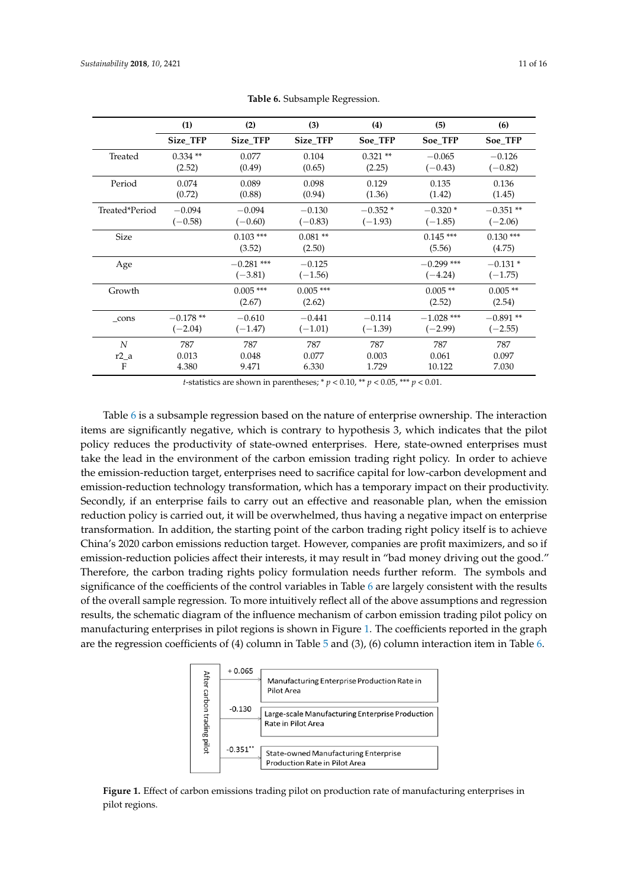<span id="page-10-0"></span>

|                | (1)        | (2)                       | (3)                   | (4)        | (5)                       | (6)                    |
|----------------|------------|---------------------------|-----------------------|------------|---------------------------|------------------------|
|                | Size TFP   | Size TFP                  | Size TFP              | Soe TFP    | Soe TFP                   | Soe TFP                |
| Treated        | $0.334$ ** | 0.077                     | 0.104                 | $0.321$ ** | $-0.065$                  | $-0.126$               |
|                | (2.52)     | (0.49)                    | (0.65)                | (2.25)     | $(-0.43)$                 | $(-0.82)$              |
| Period         | 0.074      | 0.089                     | 0.098                 | 0.129      | 0.135                     | 0.136                  |
|                | (0.72)     | (0.88)                    | (0.94)                | (1.36)     | (1.42)                    | (1.45)                 |
| Treated*Period | $-0.094$   | $-0.094$                  | $-0.130$              | $-0.352*$  | $-0.320*$                 | $-0.351**$             |
|                | $(-0.58)$  | $(-0.60)$                 | $(-0.83)$             | $(-1.93)$  | $(-1.85)$                 | $(-2.06)$              |
| <b>Size</b>    |            | $0.103$ ***<br>(3.52)     | $0.081**$<br>(2.50)   |            | $0.145***$<br>(5.56)      | $0.130***$<br>(4.75)   |
| Age            |            | $-0.281$ ***<br>$(-3.81)$ | $-0.125$<br>$(-1.56)$ |            | $-0.299$ ***<br>$(-4.24)$ | $-0.131*$<br>$(-1.75)$ |
| Growth         |            | $0.005$ ***<br>(2.67)     | $0.005$ ***<br>(2.62) |            | $0.005$ **<br>(2.52)      | $0.005$ **<br>(2.54)   |
| cons           | $-0.178**$ | $-0.610$                  | $-0.441$              | $-0.114$   | $-1.028$ ***              | $-0.891**$             |
|                | $(-2.04)$  | $(-1.47)$                 | $(-1.01)$             | $(-1.39)$  | $(-2.99)$                 | $(-2.55)$              |
| N              | 787        | 787                       | 787                   | 787        | 787                       | 787                    |
| $r2_a$         | 0.013      | 0.048                     | 0.077                 | 0.003      | 0.061                     | 0.097                  |
| F              | 4.380      | 9.471                     | 6.330                 | 1.729      | 10.122                    | 7.030                  |

**Table 6.** Subsample Regression.

*t*-statistics are shown in parentheses; \*  $p < 0.10$ , \*\*  $p < 0.05$ , \*\*\*  $p < 0.01$ .

Table [6](#page-10-0) is a subsample regression based on the nature of enterprise ownership. The interaction items are significantly negative, which is contrary to hypothesis 3, which indicates that the pilot policy reduces the productivity of state-owned enterprises. Here, state-owned enterprises must take the lead in the environment of the carbon emission trading right policy. In order to achieve the emission-reduction target, enterprises need to sacrifice capital for low-carbon development and emission-reduction technology transformation, which has a temporary impact on their productivity. Secondly, if an enterprise fails to carry out an effective and reasonable plan, when the emission reduction policy is carried out, it will be overwhelmed, thus having a negative impact on enterprise transformation. In addition, the starting point of the carbon trading right policy itself is to achieve China's 2020 carbon emissions reduction target. However, companies are profit maximizers, and so if emission-reduction policies affect their interests, it may result in "bad money driving out the good." Therefore, the carbon trading rights policy formulation needs further reform. The symbols and Therefore, the carbon trading rights policy formulation needs further reform. The symbols and significance of the coefficients of the control variables in Table 6 are largely consistent with the results significance of the coefficients of the control variables in Table 6 [ar](#page-10-0)e largely consistent with the results of the overall sample regression. To more intuitively reflect all of the above assumptions and regression results, the schematic diagram of the influence mechanism of carbon emission trading pilot policy on manufacturing enterprises in pilot regions is shown in Figure [1.](#page-10-1) The coefficients reported in the graph are the regression coefficients of (4) column in Table [5](#page-9-0) and (3), (6) column interaction item in Table [6.](#page-10-0) if emission-reduction policies affect their interests, it may result in "bad money driving out the good." returns enterprises in prot regions is shown in Figure 1. The coefficients reported in the

<span id="page-10-1"></span>

**Figure 1.** Effect of carbon emissions trading pilot on production rate of manufacturing enterprises in **Figure 1.** Effect of carbon emissions trading pilot on production rate of manufacturing enterprises in pilot regions.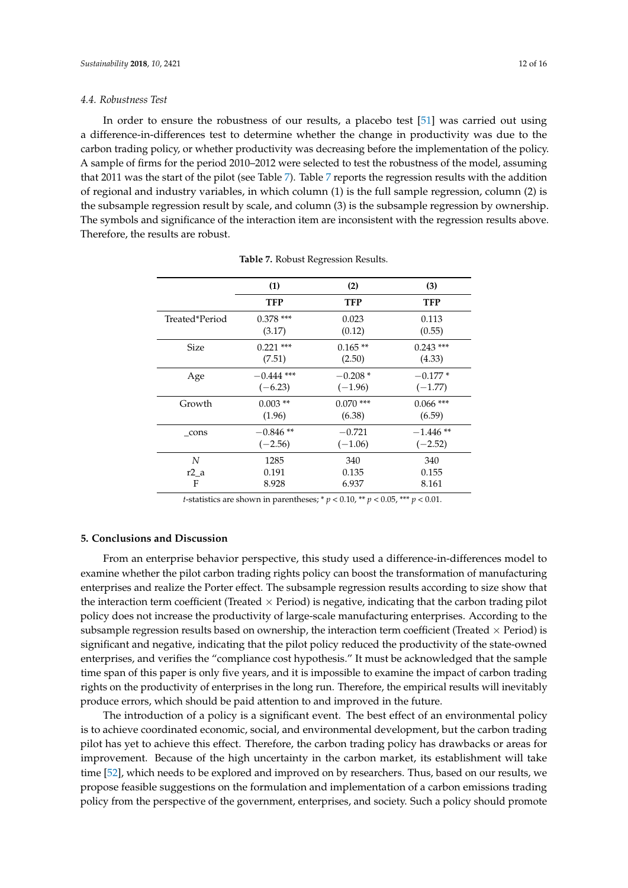#### *4.4. Robustness Test*

In order to ensure the robustness of our results, a placebo test [\[51\]](#page-15-3) was carried out using a difference-in-differences test to determine whether the change in productivity was due to the carbon trading policy, or whether productivity was decreasing before the implementation of the policy. A sample of firms for the period 2010–2012 were selected to test the robustness of the model, assuming that 2011 was the start of the pilot (see Table [7\)](#page-11-0). Table [7](#page-11-0) reports the regression results with the addition of regional and industry variables, in which column (1) is the full sample regression, column (2) is the subsample regression result by scale, and column (3) is the subsample regression by ownership. The symbols and significance of the interaction item are inconsistent with the regression results above. Therefore, the results are robust.

<span id="page-11-0"></span>

|                | (1)          | (2)         | (3)         |
|----------------|--------------|-------------|-------------|
|                | TFP          | TFP         | <b>TFP</b>  |
| Treated*Period | $0.378$ ***  | 0.023       | 0.113       |
|                | (3.17)       | (0.12)      | (0.55)      |
| Size           | $0.221$ ***  | $0.165**$   | $0.243$ *** |
|                | (7.51)       | (2.50)      | (4.33)      |
| Age            | $-0.444$ *** | $-0.208*$   | $-0.177*$   |
|                | $(-6.23)$    | $(-1.96)$   | $(-1.77)$   |
| Growth         | $0.003$ **   | $0.070$ *** | $0.066$ *** |
|                | (1.96)       | (6.38)      | (6.59)      |
| cons           | $-0.846**$   | $-0.721$    | $-1.446**$  |
|                | $(-2.56)$    | $(-1.06)$   | $(-2.52)$   |
| N              | 1285         | 340         | 340         |
| $r2_a$         | 0.191        | 0.135       | 0.155       |
| F              | 8.928        | 6.937       | 8.161       |

**Table 7.** Robust Regression Results.

*t*-statistics are shown in parentheses; \* *p* < 0.10, \*\* *p* < 0.05, \*\*\* *p* < 0.01.

# **5. Conclusions and Discussion**

From an enterprise behavior perspective, this study used a difference-in-differences model to examine whether the pilot carbon trading rights policy can boost the transformation of manufacturing enterprises and realize the Porter effect. The subsample regression results according to size show that the interaction term coefficient (Treated  $\times$  Period) is negative, indicating that the carbon trading pilot policy does not increase the productivity of large-scale manufacturing enterprises. According to the subsample regression results based on ownership, the interaction term coefficient (Treated  $\times$  Period) is significant and negative, indicating that the pilot policy reduced the productivity of the state-owned enterprises, and verifies the "compliance cost hypothesis." It must be acknowledged that the sample time span of this paper is only five years, and it is impossible to examine the impact of carbon trading rights on the productivity of enterprises in the long run. Therefore, the empirical results will inevitably produce errors, which should be paid attention to and improved in the future.

The introduction of a policy is a significant event. The best effect of an environmental policy is to achieve coordinated economic, social, and environmental development, but the carbon trading pilot has yet to achieve this effect. Therefore, the carbon trading policy has drawbacks or areas for improvement. Because of the high uncertainty in the carbon market, its establishment will take time [\[52\]](#page-15-4), which needs to be explored and improved on by researchers. Thus, based on our results, we propose feasible suggestions on the formulation and implementation of a carbon emissions trading policy from the perspective of the government, enterprises, and society. Such a policy should promote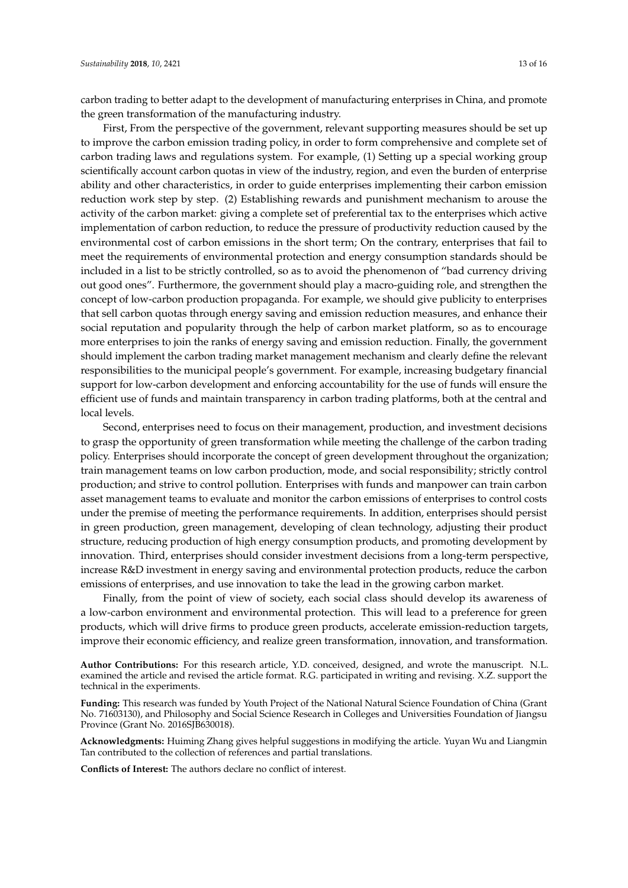carbon trading to better adapt to the development of manufacturing enterprises in China, and promote the green transformation of the manufacturing industry.

First, From the perspective of the government, relevant supporting measures should be set up to improve the carbon emission trading policy, in order to form comprehensive and complete set of carbon trading laws and regulations system. For example, (1) Setting up a special working group scientifically account carbon quotas in view of the industry, region, and even the burden of enterprise ability and other characteristics, in order to guide enterprises implementing their carbon emission reduction work step by step. (2) Establishing rewards and punishment mechanism to arouse the activity of the carbon market: giving a complete set of preferential tax to the enterprises which active implementation of carbon reduction, to reduce the pressure of productivity reduction caused by the environmental cost of carbon emissions in the short term; On the contrary, enterprises that fail to meet the requirements of environmental protection and energy consumption standards should be included in a list to be strictly controlled, so as to avoid the phenomenon of "bad currency driving out good ones". Furthermore, the government should play a macro-guiding role, and strengthen the concept of low-carbon production propaganda. For example, we should give publicity to enterprises that sell carbon quotas through energy saving and emission reduction measures, and enhance their social reputation and popularity through the help of carbon market platform, so as to encourage more enterprises to join the ranks of energy saving and emission reduction. Finally, the government should implement the carbon trading market management mechanism and clearly define the relevant responsibilities to the municipal people's government. For example, increasing budgetary financial support for low-carbon development and enforcing accountability for the use of funds will ensure the efficient use of funds and maintain transparency in carbon trading platforms, both at the central and local levels.

Second, enterprises need to focus on their management, production, and investment decisions to grasp the opportunity of green transformation while meeting the challenge of the carbon trading policy. Enterprises should incorporate the concept of green development throughout the organization; train management teams on low carbon production, mode, and social responsibility; strictly control production; and strive to control pollution. Enterprises with funds and manpower can train carbon asset management teams to evaluate and monitor the carbon emissions of enterprises to control costs under the premise of meeting the performance requirements. In addition, enterprises should persist in green production, green management, developing of clean technology, adjusting their product structure, reducing production of high energy consumption products, and promoting development by innovation. Third, enterprises should consider investment decisions from a long-term perspective, increase R&D investment in energy saving and environmental protection products, reduce the carbon emissions of enterprises, and use innovation to take the lead in the growing carbon market.

Finally, from the point of view of society, each social class should develop its awareness of a low-carbon environment and environmental protection. This will lead to a preference for green products, which will drive firms to produce green products, accelerate emission-reduction targets, improve their economic efficiency, and realize green transformation, innovation, and transformation.

**Author Contributions:** For this research article, Y.D. conceived, designed, and wrote the manuscript. N.L. examined the article and revised the article format. R.G. participated in writing and revising. X.Z. support the technical in the experiments.

**Funding:** This research was funded by Youth Project of the National Natural Science Foundation of China (Grant No. 71603130), and Philosophy and Social Science Research in Colleges and Universities Foundation of Jiangsu Province (Grant No. 2016SJB630018).

**Acknowledgments:** Huiming Zhang gives helpful suggestions in modifying the article. Yuyan Wu and Liangmin Tan contributed to the collection of references and partial translations.

**Conflicts of Interest:** The authors declare no conflict of interest.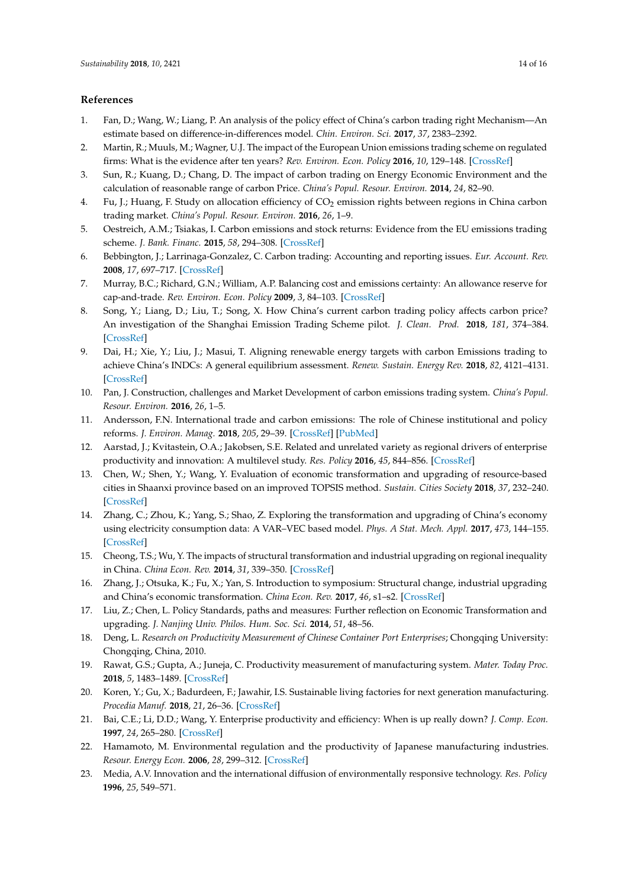# **References**

- <span id="page-13-0"></span>1. Fan, D.; Wang, W.; Liang, P. An analysis of the policy effect of China's carbon trading right Mechanism—An estimate based on difference-in-differences model. *Chin. Environ. Sci.* **2017**, *37*, 2383–2392.
- <span id="page-13-1"></span>2. Martin, R.; Muuls, M.; Wagner, U.J. The impact of the European Union emissions trading scheme on regulated firms: What is the evidence after ten years? *Rev. Environ. Econ. Policy* **2016**, *10*, 129–148. [\[CrossRef\]](http://dx.doi.org/10.1093/reep/rev016)
- <span id="page-13-2"></span>3. Sun, R.; Kuang, D.; Chang, D. The impact of carbon trading on Energy Economic Environment and the calculation of reasonable range of carbon Price. *China's Popul. Resour. Environ.* **2014**, *24*, 82–90.
- <span id="page-13-3"></span>4. Fu, J.; Huang, F. Study on allocation efficiency of CO<sub>2</sub> emission rights between regions in China carbon trading market. *China's Popul. Resour. Environ.* **2016**, *26*, 1–9.
- <span id="page-13-4"></span>5. Oestreich, A.M.; Tsiakas, I. Carbon emissions and stock returns: Evidence from the EU emissions trading scheme. *J. Bank. Financ.* **2015**, *58*, 294–308. [\[CrossRef\]](http://dx.doi.org/10.1016/j.jbankfin.2015.05.005)
- <span id="page-13-5"></span>6. Bebbington, J.; Larrinaga-Gonzalez, C. Carbon trading: Accounting and reporting issues. *Eur. Account. Rev.* **2008**, *17*, 697–717. [\[CrossRef\]](http://dx.doi.org/10.1080/09638180802489162)
- <span id="page-13-6"></span>7. Murray, B.C.; Richard, G.N.; William, A.P. Balancing cost and emissions certainty: An allowance reserve for cap-and-trade. *Rev. Environ. Econ. Policy* **2009**, *3*, 84–103. [\[CrossRef\]](http://dx.doi.org/10.1093/reep/ren016)
- <span id="page-13-7"></span>8. Song, Y.; Liang, D.; Liu, T.; Song, X. How China's current carbon trading policy affects carbon price? An investigation of the Shanghai Emission Trading Scheme pilot. *J. Clean. Prod.* **2018**, *181*, 374–384. [\[CrossRef\]](http://dx.doi.org/10.1016/j.jclepro.2018.01.102)
- <span id="page-13-8"></span>9. Dai, H.; Xie, Y.; Liu, J.; Masui, T. Aligning renewable energy targets with carbon Emissions trading to achieve China's INDCs: A general equilibrium assessment. *Renew. Sustain. Energy Rev.* **2018**, *82*, 4121–4131. [\[CrossRef\]](http://dx.doi.org/10.1016/j.rser.2017.10.061)
- <span id="page-13-9"></span>10. Pan, J. Construction, challenges and Market Development of carbon emissions trading system. *China's Popul. Resour. Environ.* **2016**, *26*, 1–5.
- <span id="page-13-10"></span>11. Andersson, F.N. International trade and carbon emissions: The role of Chinese institutional and policy reforms. *J. Environ. Manag.* **2018**, *205*, 29–39. [\[CrossRef\]](http://dx.doi.org/10.1016/j.jenvman.2017.09.052) [\[PubMed\]](http://www.ncbi.nlm.nih.gov/pubmed/28963876)
- <span id="page-13-11"></span>12. Aarstad, J.; Kvitastein, O.A.; Jakobsen, S.E. Related and unrelated variety as regional drivers of enterprise productivity and innovation: A multilevel study. *Res. Policy* **2016**, *45*, 844–856. [\[CrossRef\]](http://dx.doi.org/10.1016/j.respol.2016.01.013)
- <span id="page-13-12"></span>13. Chen, W.; Shen, Y.; Wang, Y. Evaluation of economic transformation and upgrading of resource-based cities in Shaanxi province based on an improved TOPSIS method. *Sustain. Cities Society* **2018**, *37*, 232–240. [\[CrossRef\]](http://dx.doi.org/10.1016/j.scs.2017.11.019)
- <span id="page-13-13"></span>14. Zhang, C.; Zhou, K.; Yang, S.; Shao, Z. Exploring the transformation and upgrading of China's economy using electricity consumption data: A VAR–VEC based model. *Phys. A Stat. Mech. Appl.* **2017**, *473*, 144–155. [\[CrossRef\]](http://dx.doi.org/10.1016/j.physa.2017.01.004)
- 15. Cheong, T.S.; Wu, Y. The impacts of structural transformation and industrial upgrading on regional inequality in China. *China Econ. Rev.* **2014**, *31*, 339–350. [\[CrossRef\]](http://dx.doi.org/10.1016/j.chieco.2014.09.007)
- <span id="page-13-14"></span>16. Zhang, J.; Otsuka, K.; Fu, X.; Yan, S. Introduction to symposium: Structural change, industrial upgrading and China's economic transformation. *China Econ. Rev.* **2017**, *46*, s1–s2. [\[CrossRef\]](http://dx.doi.org/10.1016/j.chieco.2017.03.012)
- <span id="page-13-15"></span>17. Liu, Z.; Chen, L. Policy Standards, paths and measures: Further reflection on Economic Transformation and upgrading. *J. Nanjing Univ. Philos. Hum. Soc. Sci.* **2014**, *51*, 48–56.
- <span id="page-13-16"></span>18. Deng, L. *Research on Productivity Measurement of Chinese Container Port Enterprises*; Chongqing University: Chongqing, China, 2010.
- <span id="page-13-17"></span>19. Rawat, G.S.; Gupta, A.; Juneja, C. Productivity measurement of manufacturing system. *Mater. Today Proc.* **2018**, *5*, 1483–1489. [\[CrossRef\]](http://dx.doi.org/10.1016/j.matpr.2017.11.237)
- 20. Koren, Y.; Gu, X.; Badurdeen, F.; Jawahir, I.S. Sustainable living factories for next generation manufacturing. *Procedia Manuf.* **2018**, *21*, 26–36. [\[CrossRef\]](http://dx.doi.org/10.1016/j.promfg.2018.02.091)
- <span id="page-13-18"></span>21. Bai, C.E.; Li, D.D.; Wang, Y. Enterprise productivity and efficiency: When is up really down? *J. Comp. Econ.* **1997**, *24*, 265–280. [\[CrossRef\]](http://dx.doi.org/10.1006/jcec.1997.1432)
- <span id="page-13-19"></span>22. Hamamoto, M. Environmental regulation and the productivity of Japanese manufacturing industries. *Resour. Energy Econ.* **2006**, *28*, 299–312. [\[CrossRef\]](http://dx.doi.org/10.1016/j.reseneeco.2005.11.001)
- <span id="page-13-20"></span>23. Media, A.V. Innovation and the international diffusion of environmentally responsive technology. *Res. Policy* **1996**, *25*, 549–571.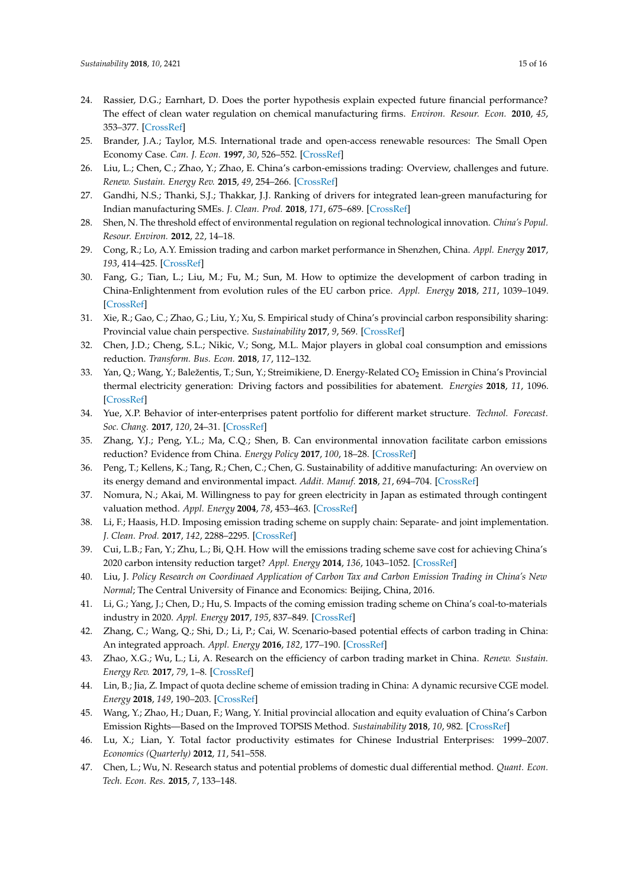- <span id="page-14-0"></span>24. Rassier, D.G.; Earnhart, D. Does the porter hypothesis explain expected future financial performance? The effect of clean water regulation on chemical manufacturing firms. *Environ. Resour. Econ.* **2010**, *45*, 353–377. [\[CrossRef\]](http://dx.doi.org/10.1007/s10640-009-9318-0)
- <span id="page-14-1"></span>25. Brander, J.A.; Taylor, M.S. International trade and open-access renewable resources: The Small Open Economy Case. *Can. J. Econ.* **1997**, *30*, 526–552. [\[CrossRef\]](http://dx.doi.org/10.2307/136232)
- <span id="page-14-2"></span>26. Liu, L.; Chen, C.; Zhao, Y.; Zhao, E. China's carbon-emissions trading: Overview, challenges and future. *Renew. Sustain. Energy Rev.* **2015**, *49*, 254–266. [\[CrossRef\]](http://dx.doi.org/10.1016/j.rser.2015.04.076)
- <span id="page-14-3"></span>27. Gandhi, N.S.; Thanki, S.J.; Thakkar, J.J. Ranking of drivers for integrated lean-green manufacturing for Indian manufacturing SMEs. *J. Clean. Prod.* **2018**, *171*, 675–689. [\[CrossRef\]](http://dx.doi.org/10.1016/j.jclepro.2017.10.041)
- <span id="page-14-4"></span>28. Shen, N. The threshold effect of environmental regulation on regional technological innovation. *China's Popul. Resour. Environ.* **2012**, *22*, 14–18.
- <span id="page-14-5"></span>29. Cong, R.; Lo, A.Y. Emission trading and carbon market performance in Shenzhen, China. *Appl. Energy* **2017**, *193*, 414–425. [\[CrossRef\]](http://dx.doi.org/10.1016/j.apenergy.2017.02.037)
- <span id="page-14-6"></span>30. Fang, G.; Tian, L.; Liu, M.; Fu, M.; Sun, M. How to optimize the development of carbon trading in China-Enlightenment from evolution rules of the EU carbon price. *Appl. Energy* **2018**, *211*, 1039–1049. [\[CrossRef\]](http://dx.doi.org/10.1016/j.apenergy.2017.12.001)
- <span id="page-14-7"></span>31. Xie, R.; Gao, C.; Zhao, G.; Liu, Y.; Xu, S. Empirical study of China's provincial carbon responsibility sharing: Provincial value chain perspective. *Sustainability* **2017**, *9*, 569. [\[CrossRef\]](http://dx.doi.org/10.3390/su9040569)
- 32. Chen, J.D.; Cheng, S.L.; Nikic, V.; Song, M.L. Major players in global coal consumption and emissions reduction. *Transform. Bus. Econ.* **2018**, *17*, 112–132.
- <span id="page-14-8"></span>33. Yan, Q.; Wang, Y.; Baležentis, T.; Sun, Y.; Streimikiene, D. Energy-Related CO<sub>2</sub> Emission in China's Provincial thermal electricity generation: Driving factors and possibilities for abatement. *Energies* **2018**, *11*, 1096. [\[CrossRef\]](http://dx.doi.org/10.3390/en11051096)
- <span id="page-14-9"></span>34. Yue, X.P. Behavior of inter-enterprises patent portfolio for different market structure. *Technol. Forecast. Soc. Chang.* **2017**, *120*, 24–31. [\[CrossRef\]](http://dx.doi.org/10.1016/j.techfore.2017.04.001)
- 35. Zhang, Y.J.; Peng, Y.L.; Ma, C.Q.; Shen, B. Can environmental innovation facilitate carbon emissions reduction? Evidence from China. *Energy Policy* **2017**, *100*, 18–28. [\[CrossRef\]](http://dx.doi.org/10.1016/j.enpol.2016.10.005)
- <span id="page-14-10"></span>36. Peng, T.; Kellens, K.; Tang, R.; Chen, C.; Chen, G. Sustainability of additive manufacturing: An overview on its energy demand and environmental impact. *Addit. Manuf.* **2018**, *21*, 694–704. [\[CrossRef\]](http://dx.doi.org/10.1016/j.addma.2018.04.022)
- <span id="page-14-11"></span>37. Nomura, N.; Akai, M. Willingness to pay for green electricity in Japan as estimated through contingent valuation method. *Appl. Energy* **2004**, *78*, 453–463. [\[CrossRef\]](http://dx.doi.org/10.1016/j.apenergy.2003.10.001)
- <span id="page-14-12"></span>38. Li, F.; Haasis, H.D. Imposing emission trading scheme on supply chain: Separate- and joint implementation. *J. Clean. Prod.* **2017**, *142*, 2288–2295. [\[CrossRef\]](http://dx.doi.org/10.1016/j.jclepro.2016.11.048)
- 39. Cui, L.B.; Fan, Y.; Zhu, L.; Bi, Q.H. How will the emissions trading scheme save cost for achieving China's 2020 carbon intensity reduction target? *Appl. Energy* **2014**, *136*, 1043–1052. [\[CrossRef\]](http://dx.doi.org/10.1016/j.apenergy.2014.05.021)
- <span id="page-14-13"></span>40. Liu, J. *Policy Research on Coordinaed Application of Carbon Tax and Carbon Emission Trading in China's New Normal*; The Central University of Finance and Economics: Beijing, China, 2016.
- <span id="page-14-14"></span>41. Li, G.; Yang, J.; Chen, D.; Hu, S. Impacts of the coming emission trading scheme on China's coal-to-materials industry in 2020. *Appl. Energy* **2017**, *195*, 837–849. [\[CrossRef\]](http://dx.doi.org/10.1016/j.apenergy.2017.03.115)
- <span id="page-14-15"></span>42. Zhang, C.; Wang, Q.; Shi, D.; Li, P.; Cai, W. Scenario-based potential effects of carbon trading in China: An integrated approach. *Appl. Energy* **2016**, *182*, 177–190. [\[CrossRef\]](http://dx.doi.org/10.1016/j.apenergy.2016.08.133)
- <span id="page-14-16"></span>43. Zhao, X.G.; Wu, L.; Li, A. Research on the efficiency of carbon trading market in China. *Renew. Sustain. Energy Rev.* **2017**, *79*, 1–8. [\[CrossRef\]](http://dx.doi.org/10.1016/j.rser.2017.05.034)
- <span id="page-14-17"></span>44. Lin, B.; Jia, Z. Impact of quota decline scheme of emission trading in China: A dynamic recursive CGE model. *Energy* **2018**, *149*, 190–203. [\[CrossRef\]](http://dx.doi.org/10.1016/j.energy.2018.02.039)
- <span id="page-14-18"></span>45. Wang, Y.; Zhao, H.; Duan, F.; Wang, Y. Initial provincial allocation and equity evaluation of China's Carbon Emission Rights—Based on the Improved TOPSIS Method. *Sustainability* **2018**, *10*, 982. [\[CrossRef\]](http://dx.doi.org/10.3390/su10040982)
- <span id="page-14-19"></span>46. Lu, X.; Lian, Y. Total factor productivity estimates for Chinese Industrial Enterprises: 1999–2007. *Economics (Quarterly)* **2012**, *11*, 541–558.
- <span id="page-14-20"></span>47. Chen, L.; Wu, N. Research status and potential problems of domestic dual differential method. *Quant. Econ. Tech. Econ. Res.* **2015**, *7*, 133–148.